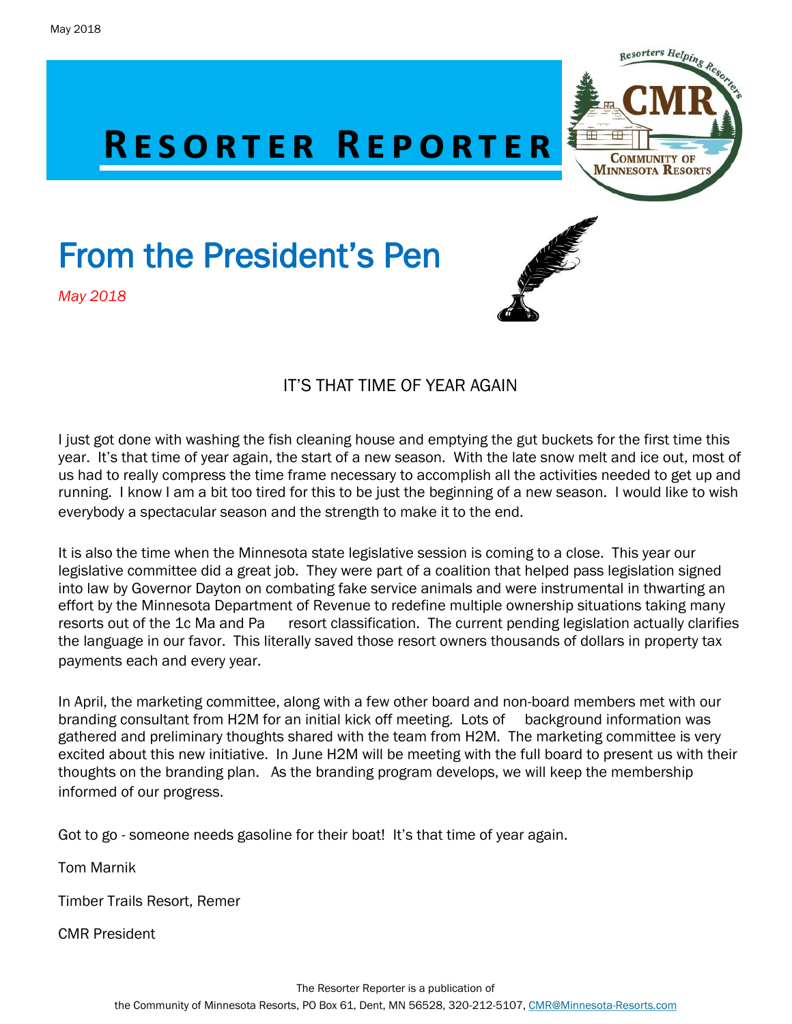

# From the President's Pen

*May 2018*





#### IT'S THAT TIME OF YEAR AGAIN

I just got done with washing the fish cleaning house and emptying the gut buckets for the first time this year. It's that time of year again, the start of a new season. With the late snow melt and ice out, most of us had to really compress the time frame necessary to accomplish all the activities needed to get up and running. I know I am a bit too tired for this to be just the beginning of a new season. I would like to wish everybody a spectacular season and the strength to make it to the end.

It is also the time when the Minnesota state legislative session is coming to a close. This year our legislative committee did a great job. They were part of a coalition that helped pass legislation signed into law by Governor Dayton on combating fake service animals and were instrumental in thwarting an effort by the Minnesota Department of Revenue to redefine multiple ownership situations taking many resorts out of the 1c Ma and Pa resort classification. The current pending legislation actually clarifies the language in our favor. This literally saved those resort owners thousands of dollars in property tax payments each and every year.

In April, the marketing committee, along with a few other board and non-board members met with our branding consultant from H2M for an initial kick off meeting. Lots of background information was gathered and preliminary thoughts shared with the team from H2M. The marketing committee is very excited about this new initiative. In June H2M will be meeting with the full board to present us with their thoughts on the branding plan. As the branding program develops, we will keep the membership informed of our progress.

Got to go - someone needs gasoline for their boat! It's that time of year again.

Tom Marnik

Timber Trails Resort, Remer

CMR President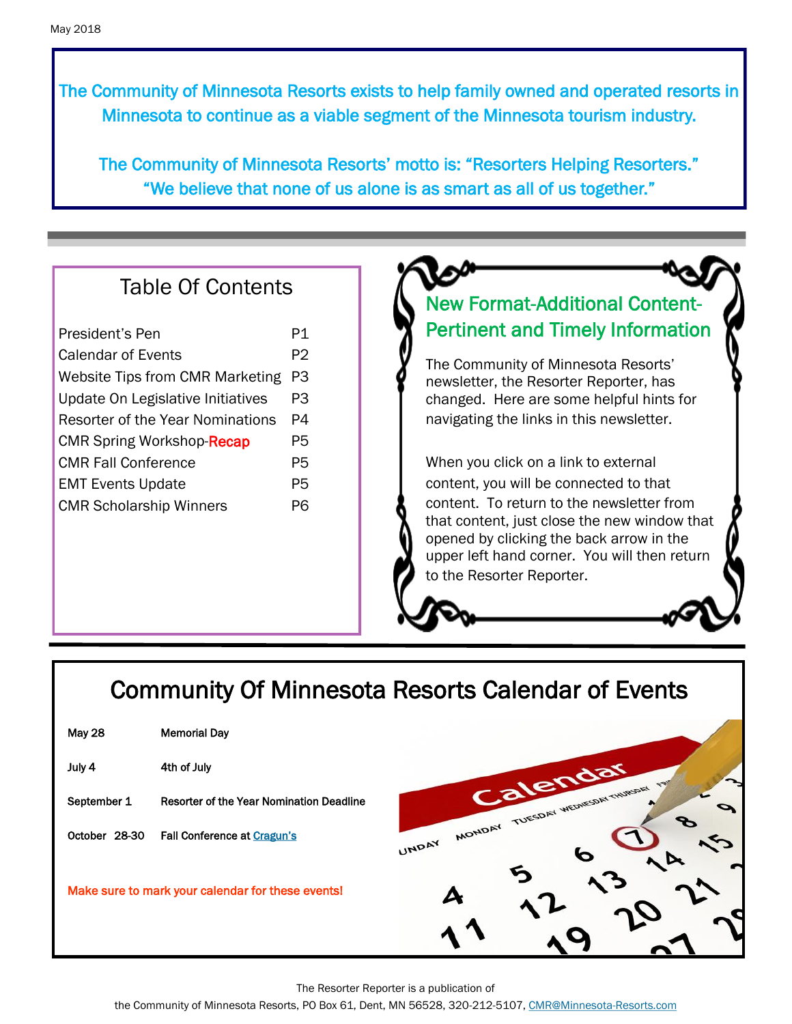The Community of Minnesota Resorts exists to help family owned and operated resorts in Minnesota to continue as a viable segment of the Minnesota tourism industry.

The Community of Minnesota Resorts' motto is: "Resorters Helping Resorters." "We believe that none of us alone is as smart as all of us together."

#### Table Of Contents

| President's Pen                         | P1 |
|-----------------------------------------|----|
| <b>Calendar of Events</b>               | P2 |
| <b>Website Tips from CMR Marketing</b>  | P3 |
| Update On Legislative Initiatives       | P3 |
| <b>Resorter of the Year Nominations</b> | P4 |
| <b>CMR Spring Workshop-Recap</b>        | P5 |
| <b>CMR Fall Conference</b>              | P5 |
| <b>EMT Events Update</b>                | P5 |
| <b>CMR Scholarship Winners</b>          | PR |
|                                         |    |

#### New Format-Additional Content-Pertinent and Timely Information

The Community of Minnesota Resorts' newsletter, the Resorter Reporter, has changed. Here are some helpful hints for navigating the links in this newsletter.

When you click on a link to external content, you will be connected to that content. To return to the newsletter from that content, just close the new window that opened by clicking the back arrow in the upper left hand corner. You will then return to the Resorter Reporter.

## Community Of Minnesota Resorts Calendar of Events

| May 28                                            | <b>Memorial Dav</b>                      |  |
|---------------------------------------------------|------------------------------------------|--|
| July 4                                            | 4th of July                              |  |
| September 1                                       | Resorter of the Year Nomination Deadline |  |
| October 28-30                                     | <b>Fall Conference at Cragun's</b>       |  |
| Make sure to mark your calendar for these events! |                                          |  |



The Resorter Reporter is a publication of

the Community of Minnesota Resorts, PO Box 61, Dent, MN 56528, 320-212-5107, [CMR@Minnesota-Resorts.com](mailto:CMR@Minnesota-Resorts.com?subject=Community%20of%20Minnesota%20Resorts)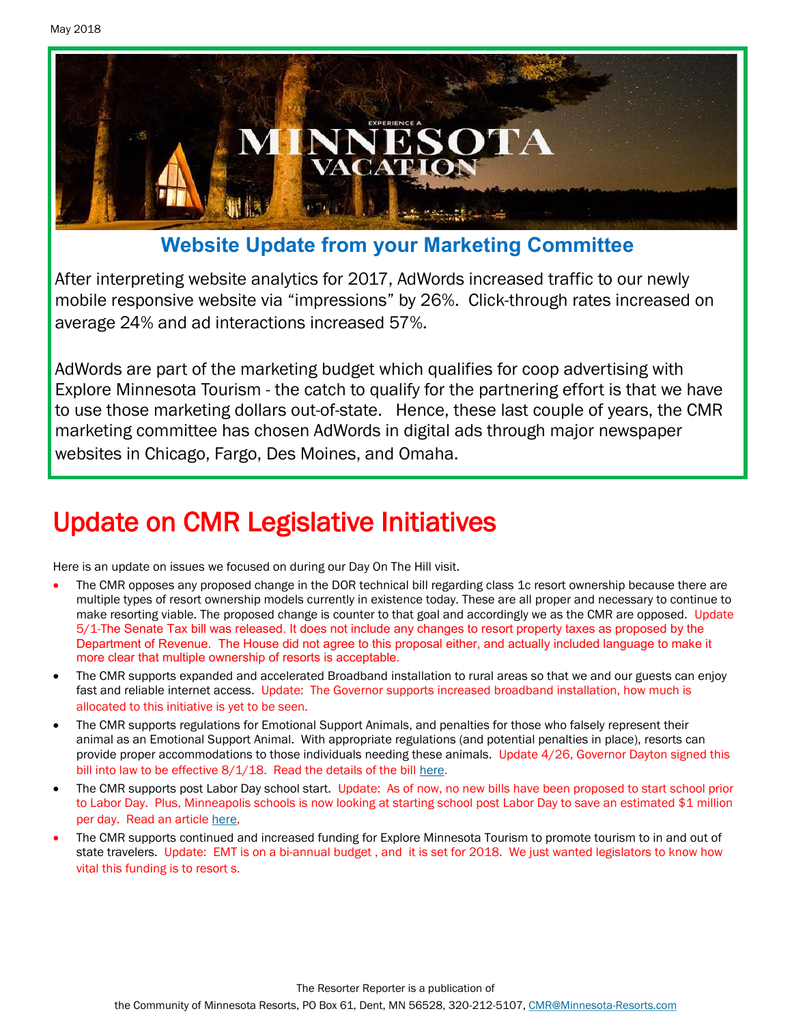

**Website Update from your Marketing Committee**

After interpreting website analytics for 2017, AdWords increased traffic to our newly mobile responsive website via "impressions" by 26%. Click-through rates increased on average 24% and ad interactions increased 57%.

AdWords are part of the marketing budget which qualifies for coop advertising with Explore Minnesota Tourism - the catch to qualify for the partnering effort is that we have to use those marketing dollars out-of-state. Hence, these last couple of years, the CMR marketing committee has chosen AdWords in digital ads through major newspaper websites in Chicago, Fargo, Des Moines, and Omaha.

# Update on CMR Legislative Initiatives

Here is an update on issues we focused on during our Day On The Hill visit.

- The CMR opposes any proposed change in the DOR technical bill regarding class 1c resort ownership because there are multiple types of resort ownership models currently in existence today. These are all proper and necessary to continue to make resorting viable. The proposed change is counter to that goal and accordingly we as the CMR are opposed. Update 5/1-The Senate Tax bill was released. It does not include any changes to resort property taxes as proposed by the Department of Revenue. The House did not agree to this proposal either, and actually included language to make it more clear that multiple ownership of resorts is acceptable.
- The CMR supports expanded and accelerated Broadband installation to rural areas so that we and our guests can enjoy fast and reliable internet access. Update: The Governor supports increased broadband installation, how much is allocated to this initiative is yet to be seen.
- The CMR supports regulations for Emotional Support Animals, and penalties for those who falsely represent their animal as an Emotional Support Animal. With appropriate regulations (and potential penalties in place), resorts can provide proper accommodations to those individuals needing these animals. Update 4/26, Governor Dayton signed this bill into law to be effective 8/1/18. Read the details of the bill [here.](https://www.revisor.mn.gov/laws/?year=2018&type=0&doctype=Chapter&id=106)
- The CMR supports post Labor Day school start. Update: As of now, no new bills have been proposed to start school prior to Labor Day. Plus, Minneapolis schools is now looking at starting school post Labor Day to save an estimated \$1 million per day. Read an article [here,](http://www.startribune.com/minneapolis-public-schools-to-vote-on-cutting-2-days-from-school-year/468477933/)
- The CMR supports continued and increased funding for Explore Minnesota Tourism to promote tourism to in and out of state travelers. Update: EMT is on a bi-annual budget, and it is set for 2018. We just wanted legislators to know how vital this funding is to resort s.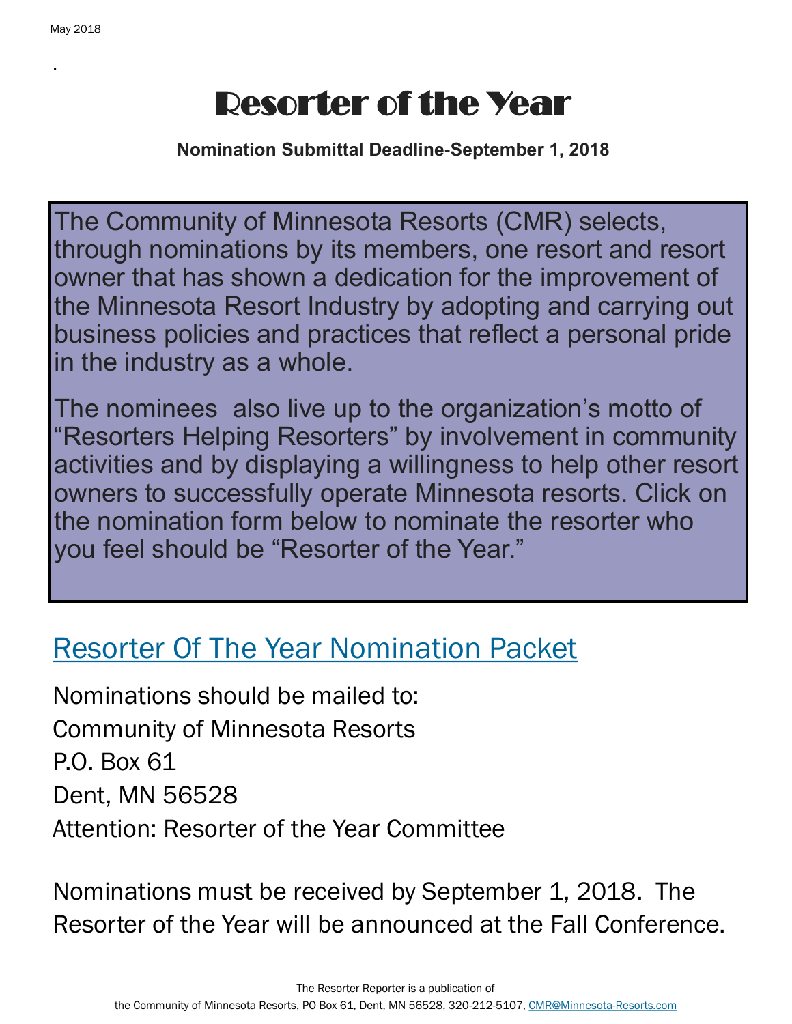.

# Resorter of the Year

**Nomination Submittal Deadline-September 1, 2018**

The Community of Minnesota Resorts (CMR) selects, through nominations by its members, one resort and resort owner that has shown a dedication for the improvement of the Minnesota Resort Industry by adopting and carrying out business policies and practices that reflect a personal pride in the industry as a whole.

The nominees also live up to the organization's motto of "Resorters Helping Resorters" by involvement in community activities and by displaying a willingness to help other resort owners to successfully operate Minnesota resorts. Click on the nomination form below to nominate the resorter who you feel should be "Resorter of the Year."

# [Resorter Of The Year Nomination Packet](http://minnesota-resorts.com/wp-lib/wp-content/uploads/2016/11/2016.04.07_ROY-nominating-packet-Community.pdf)

Nominations should be mailed to: Community of Minnesota Resorts P.O. Box 61 Dent, MN 56528 Attention: Resorter of the Year Committee

Nominations must be received by September 1, 2018. The Resorter of the Year will be announced at the Fall Conference.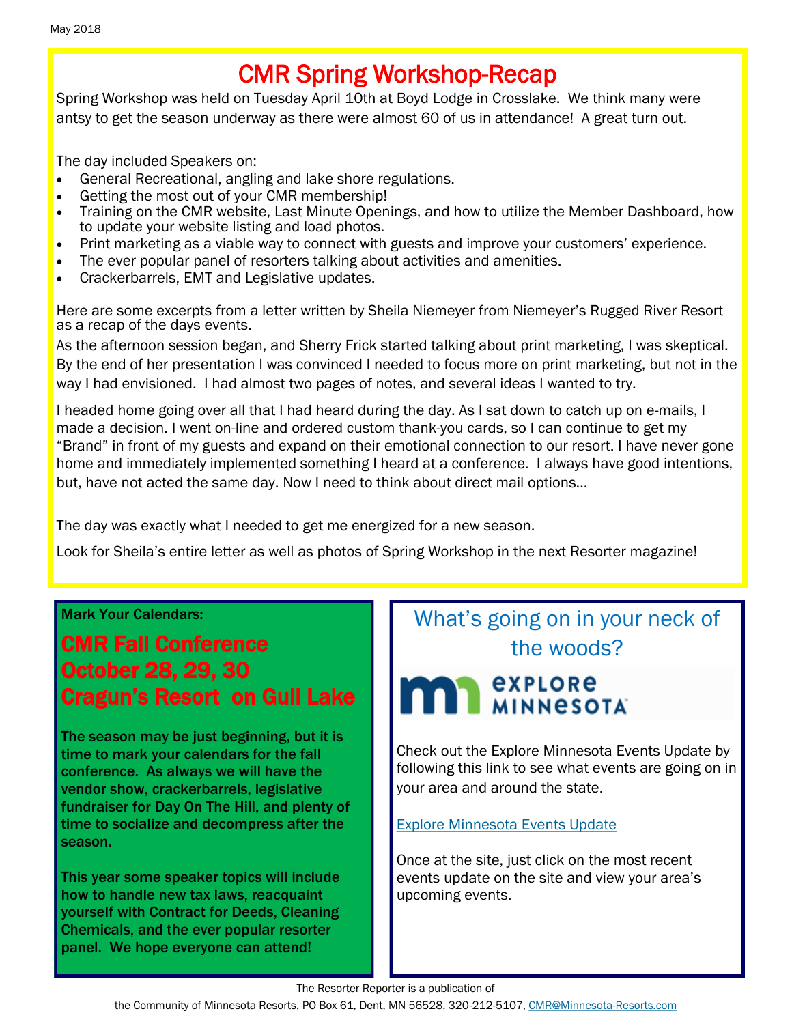## CMR Spring Workshop-Recap

Spring Workshop was held on Tuesday April 10th at Boyd Lodge in Crosslake. We think many were antsy to get the season underway as there were almost 60 of us in attendance! A great turn out.

The day included Speakers on:

- General Recreational, angling and lake shore regulations.
- Getting the most out of your CMR membership!
- Training on the CMR website, Last Minute Openings, and how to utilize the Member Dashboard, how to update your website listing and load photos.
- Print marketing as a viable way to connect with guests and improve your customers' experience.
- The ever popular panel of resorters talking about activities and amenities.
- Crackerbarrels, EMT and Legislative updates.

Here are some excerpts from a letter written by Sheila Niemeyer from Niemeyer's Rugged River Resort as a recap of the days events.

As the afternoon session began, and Sherry Frick started talking about print marketing, I was skeptical. By the end of her presentation I was convinced I needed to focus more on print marketing, but not in the way I had envisioned. I had almost two pages of notes, and several ideas I wanted to try.

I headed home going over all that I had heard during the day. As I sat down to catch up on e-mails, I made a decision. I went on-line and ordered custom thank-you cards, so I can continue to get my "Brand" in front of my guests and expand on their emotional connection to our resort. I have never gone home and immediately implemented something I heard at a conference. I always have good intentions, but, have not acted the same day. Now I need to think about direct mail options…

The day was exactly what I needed to get me energized for a new season.

Look for Sheila's entire letter as well as photos of Spring Workshop in the next Resorter magazine!

#### Mark Your Calendars:

#### CMR Fall Conference October 28, 29, 30 Cragun's Resort on Gull Lake

The season may be just beginning, but it is time to mark your calendars for the fall conference. As always we will have the vendor show, crackerbarrels, legislative fundraiser for Day On The Hill, and plenty of time to socialize and decompress after the season.

This year some speaker topics will include how to handle new tax laws, reacquaint yourself with Contract for Deeds, Cleaning Chemicals, and the ever popular resorter panel. We hope everyone can attend!

### What's going on in your neck of the woods?

# **SEXPLORE EXPLORE**

Check out the Explore Minnesota Events Update by following this link to see what events are going on in your area and around the state.

[Explore Minnesota Events Update](http://www.exploreminnesota.com/newsletter-sign-up/reports/events-report/)

Once at the site, just click on the most recent events update on the site and view your area's upcoming events.

The Resorter Reporter is a publication of